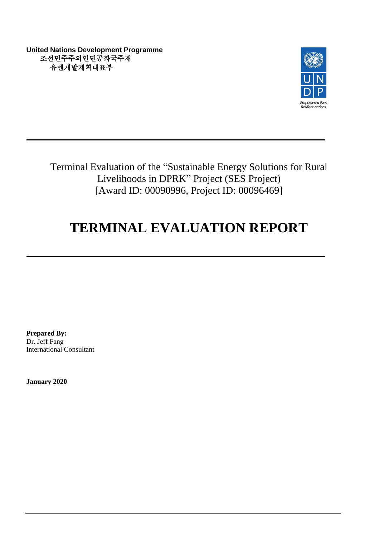**United Nations Development Programme** 조선민주주의인민공화국주재 유엔개발계획대표부



Terminal Evaluation of the "Sustainable Energy Solutions for Rural Livelihoods in DPRK" Project (SES Project) [Award ID: 00090996, Project ID: 00096469]

# **TERMINAL EVALUATION REPORT**

**Prepared By:** Dr. Jeff Fang International Consultant

**January 2020**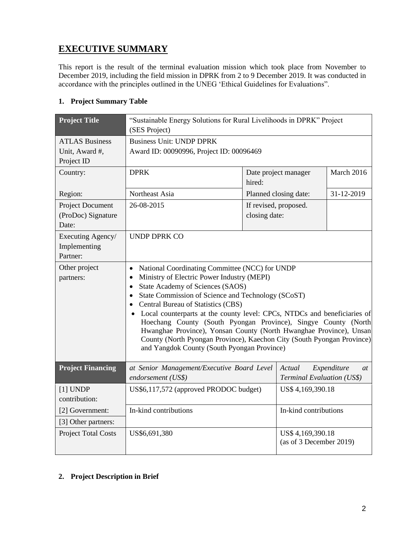# **EXECUTIVE SUMMARY**

This report is the result of the terminal evaluation mission which took place from November to December 2019, including the field mission in DPRK from 2 to 9 December 2019. It was conducted in accordance with the principles outlined in the UNEG 'Ethical Guidelines for Evaluations".

# **1. Project Summary Table**

| <b>Project Title</b>                                  | "Sustainable Energy Solutions for Rural Livelihoods in DPRK" Project<br>(SES Project)                                                                                                                                                                                                                                                                                                                                                                                                                                                                                         |               |                                                           |            |
|-------------------------------------------------------|-------------------------------------------------------------------------------------------------------------------------------------------------------------------------------------------------------------------------------------------------------------------------------------------------------------------------------------------------------------------------------------------------------------------------------------------------------------------------------------------------------------------------------------------------------------------------------|---------------|-----------------------------------------------------------|------------|
| <b>ATLAS Business</b><br>Unit, Award #,<br>Project ID | <b>Business Unit: UNDP DPRK</b><br>Award ID: 00090996, Project ID: 00096469                                                                                                                                                                                                                                                                                                                                                                                                                                                                                                   |               |                                                           |            |
| Country:                                              | <b>DPRK</b>                                                                                                                                                                                                                                                                                                                                                                                                                                                                                                                                                                   | hired:        | Date project manager                                      | March 2016 |
| Region:                                               | Northeast Asia                                                                                                                                                                                                                                                                                                                                                                                                                                                                                                                                                                |               | Planned closing date:                                     | 31-12-2019 |
| Project Document<br>(ProDoc) Signature<br>Date:       | 26-08-2015                                                                                                                                                                                                                                                                                                                                                                                                                                                                                                                                                                    | closing date: | If revised, proposed.                                     |            |
| Executing Agency/<br>Implementing<br>Partner:         | <b>UNDP DPRK CO</b>                                                                                                                                                                                                                                                                                                                                                                                                                                                                                                                                                           |               |                                                           |            |
| Other project<br>partners:                            | National Coordinating Committee (NCC) for UNDP<br>Ministry of Electric Power Industry (MEPI)<br>State Academy of Sciences (SAOS)<br>State Commission of Science and Technology (SCoST)<br>• Central Bureau of Statistics (CBS)<br>• Local counterparts at the county level: CPCs, NTDCs and beneficiaries of<br>Hoechang County (South Pyongan Province), Singye County (North<br>Hwanghae Province), Yonsan County (North Hwanghae Province), Unsan<br>County (North Pyongan Province), Kaechon City (South Pyongan Province)<br>and Yangdok County (South Pyongan Province) |               |                                                           |            |
| <b>Project Financing</b>                              | at Senior Management/Executive Board Level<br>endorsement (US\$)                                                                                                                                                                                                                                                                                                                                                                                                                                                                                                              |               | Expenditure<br>Actual<br>at<br>Terminal Evaluation (US\$) |            |
| $[1]$ UNDP<br>contribution:                           | US\$6,117,572 (approved PRODOC budget)                                                                                                                                                                                                                                                                                                                                                                                                                                                                                                                                        |               | US\$ 4,169,390.18                                         |            |
| [2] Government:                                       | In-kind contributions                                                                                                                                                                                                                                                                                                                                                                                                                                                                                                                                                         |               | In-kind contributions                                     |            |
| [3] Other partners:                                   |                                                                                                                                                                                                                                                                                                                                                                                                                                                                                                                                                                               |               |                                                           |            |
| <b>Project Total Costs</b>                            | US\$6,691,380                                                                                                                                                                                                                                                                                                                                                                                                                                                                                                                                                                 |               | US\$ 4,169,390.18<br>(as of 3 December 2019)              |            |

## **2. Project Description in Brief**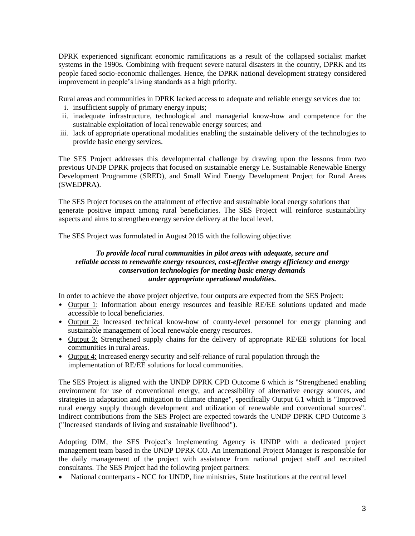DPRK experienced significant economic ramifications as a result of the collapsed socialist market systems in the 1990s. Combining with frequent severe natural disasters in the country, DPRK and its people faced socio-economic challenges. Hence, the DPRK national development strategy considered improvement in people's living standards as a high priority.

Rural areas and communities in DPRK lacked access to adequate and reliable energy services due to:

- i. insufficient supply of primary energy inputs;
- ii. inadequate infrastructure, technological and managerial know-how and competence for the sustainable exploitation of local renewable energy sources; and
- iii. lack of appropriate operational modalities enabling the sustainable delivery of the technologies to provide basic energy services.

The SES Project addresses this developmental challenge by drawing upon the lessons from two previous UNDP DPRK projects that focused on sustainable energy i.e. Sustainable Renewable Energy Development Programme (SRED), and Small Wind Energy Development Project for Rural Areas (SWEDPRA).

The SES Project focuses on the attainment of effective and sustainable local energy solutions that generate positive impact among rural beneficiaries. The SES Project will reinforce sustainability aspects and aims to strengthen energy service delivery at the local level.

The SES Project was formulated in August 2015 with the following objective:

#### *To provide local rural communities in pilot areas with adequate, secure and reliable access to renewable energy resources, cost-effective energy efficiency and energy conservation technologies for meeting basic energy demands under appropriate operational modalities.*

In order to achieve the above project objective, four outputs are expected from the SES Project:

- Output 1: Information about energy resources and feasible RE/EE solutions updated and made accessible to local beneficiaries.
- Output 2: Increased technical know-how of county-level personnel for energy planning and sustainable management of local renewable energy resources.
- Output 3: Strengthened supply chains for the delivery of appropriate RE/EE solutions for local communities in rural areas.
- Output 4: Increased energy security and self-reliance of rural population through the implementation of RE/EE solutions for local communities.

The SES Project is aligned with the UNDP DPRK CPD Outcome 6 which is "Strengthened enabling environment for use of conventional energy, and accessibility of alternative energy sources, and strategies in adaptation and mitigation to climate change", specifically Output 6.1 which is "Improved rural energy supply through development and utilization of renewable and conventional sources". Indirect contributions from the SES Project are expected towards the UNDP DPRK CPD Outcome 3 ("Increased standards of living and sustainable livelihood").

Adopting DIM, the SES Project's Implementing Agency is UNDP with a dedicated project management team based in the UNDP DPRK CO. An International Project Manager is responsible for the daily management of the project with assistance from national project staff and recruited consultants. The SES Project had the following project partners:

• National counterparts - NCC for UNDP, line ministries, State Institutions at the central level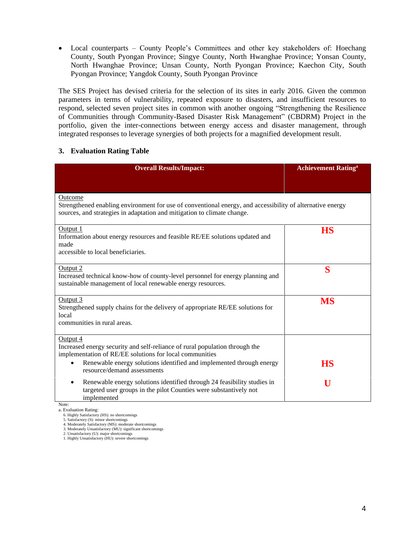• Local counterparts – County People's Committees and other key stakeholders of: Hoechang County, South Pyongan Province; Singye County, North Hwanghae Province; Yonsan County, North Hwanghae Province; Unsan County, North Pyongan Province; Kaechon City, South Pyongan Province; Yangdok County, South Pyongan Province

The SES Project has devised criteria for the selection of its sites in early 2016. Given the common parameters in terms of vulnerability, repeated exposure to disasters, and insufficient resources to respond, selected seven project sites in common with another ongoing "Strengthening the Resilience of Communities through Community-Based Disaster Risk Management" (CBDRM) Project in the portfolio, given the inter-connections between energy access and disaster management, through integrated responses to leverage synergies of both projects for a magnified development result.

## **3. Evaluation Rating Table**

| <b>Overall Results/Impact:</b>                                                                                                                                                                  | <b>Achievement Rating<sup>a</sup></b> |
|-------------------------------------------------------------------------------------------------------------------------------------------------------------------------------------------------|---------------------------------------|
|                                                                                                                                                                                                 |                                       |
| Outcome<br>Strengthened enabling environment for use of conventional energy, and accessibility of alternative energy<br>sources, and strategies in adaptation and mitigation to climate change. |                                       |
| Output 1<br>Information about energy resources and feasible RE/EE solutions updated and<br>made<br>accessible to local beneficiaries.                                                           | HS                                    |
| Output 2<br>Increased technical know-how of county-level personnel for energy planning and<br>sustainable management of local renewable energy resources.                                       | S                                     |
| Output 3<br>Strengthened supply chains for the delivery of appropriate RE/EE solutions for<br>local<br>communities in rural areas.                                                              | <b>MS</b>                             |
| Output 4<br>Increased energy security and self-reliance of rural population through the<br>implementation of RE/EE solutions for local communities                                              |                                       |
| Renewable energy solutions identified and implemented through energy<br>resource/demand assessments                                                                                             | HS                                    |
| Renewable energy solutions identified through 24 feasibility studies in<br>targeted user groups in the pilot Counties were substantively not<br>implemented<br>Note:                            | U                                     |

a. Evaluation Rating: 6. Highly Satisfactory (HS): no shortcomings

5. Satisfactory (S): minor shortcomings

4. Moderately Satisfactory (MS): moderate shortcomings 3. Moderately Unsatisfactory (MU): significant shortcomings

2. Unsatisfactory (U): major shortcomings 1. Highly Unsatisfactory (HU): severe shortcomings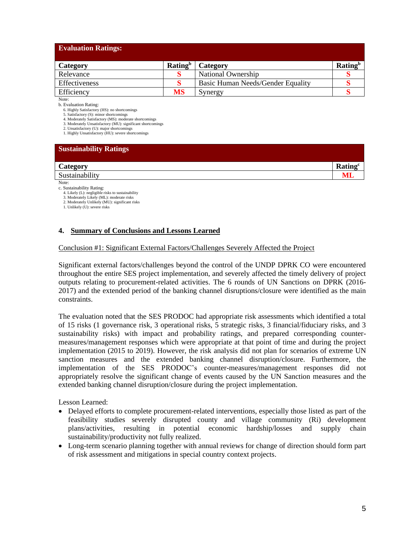| <b>Evaluation Ratings:</b> |                            |                                   |                            |
|----------------------------|----------------------------|-----------------------------------|----------------------------|
| Category                   | <b>Rating</b> <sup>b</sup> | Category                          | <b>Rating</b> <sup>b</sup> |
| Relevance                  |                            | National Ownership                |                            |
| Effectiveness              |                            | Basic Human Needs/Gender Equality |                            |
| Efficiency                 | MS                         | Synergy                           |                            |

Note:

b. Evaluation Rating:

6. Highly Satisfactory (HS): no shortcomings

5. Satisfactory (S): minor shortcomings 4. Moderately Satisfactory (MS): moderate shortcomings

3. Moderately Unsatisfactory (MU): significant shortcomings

2. Unsatisfactory (U): major shortcomings

1. Highly Unsatisfactory (HU): severe shortcomings

| <b>Sustainability Ratings</b> |                     |
|-------------------------------|---------------------|
| Category                      | Rating <sup>c</sup> |
| Sustainability                |                     |
| Note:                         |                     |

c. Sustainability Rating:

4. Likely (L): negligible risks to sustainability

3. Moderately Likely (ML): moderate risks 2. Moderately Unlikely (MU): significant risks

1. Unlikely (U): severe risks

#### **4. Summary of Conclusions and Lessons Learned**

#### Conclusion #1: Significant External Factors/Challenges Severely Affected the Project

Significant external factors/challenges beyond the control of the UNDP DPRK CO were encountered throughout the entire SES project implementation, and severely affected the timely delivery of project outputs relating to procurement-related activities. The 6 rounds of UN Sanctions on DPRK (2016- 2017) and the extended period of the banking channel disruptions/closure were identified as the main constraints.

The evaluation noted that the SES PRODOC had appropriate risk assessments which identified a total of 15 risks (1 governance risk, 3 operational risks, 5 strategic risks, 3 financial/fiduciary risks, and 3 sustainability risks) with impact and probability ratings, and prepared corresponding countermeasures/management responses which were appropriate at that point of time and during the project implementation (2015 to 2019). However, the risk analysis did not plan for scenarios of extreme UN sanction measures and the extended banking channel disruption/closure. Furthermore, the implementation of the SES PRODOC's counter-measures/management responses did not appropriately resolve the significant change of events caused by the UN Sanction measures and the extended banking channel disruption/closure during the project implementation.

Lesson Learned:

- Delayed efforts to complete procurement-related interventions, especially those listed as part of the feasibility studies severely disrupted county and village community (Ri) development plans/activities, resulting in potential economic hardship/losses and supply chain sustainability/productivity not fully realized.
- Long-term scenario planning together with annual reviews for change of direction should form part of risk assessment and mitigations in special country context projects.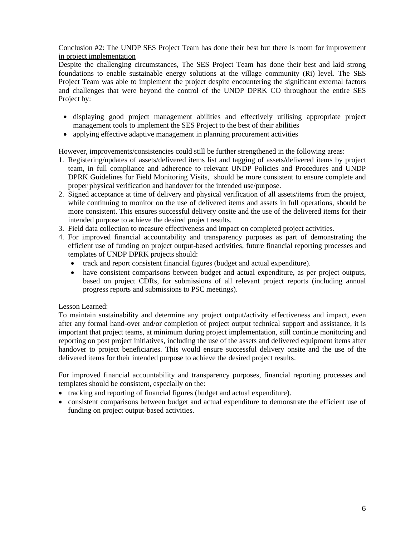#### Conclusion #2: The UNDP SES Project Team has done their best but there is room for improvement in project implementation

Despite the challenging circumstances, The SES Project Team has done their best and laid strong foundations to enable sustainable energy solutions at the village community (Ri) level. The SES Project Team was able to implement the project despite encountering the significant external factors and challenges that were beyond the control of the UNDP DPRK CO throughout the entire SES Project by:

- displaying good project management abilities and effectively utilising appropriate project management tools to implement the SES Project to the best of their abilities
- applying effective adaptive management in planning procurement activities

However, improvements/consistencies could still be further strengthened in the following areas:

- 1. Registering/updates of assets/delivered items list and tagging of assets/delivered items by project team, in full compliance and adherence to relevant UNDP Policies and Procedures and UNDP DPRK Guidelines for Field Monitoring Visits, should be more consistent to ensure complete and proper physical verification and handover for the intended use/purpose.
- 2. Signed acceptance at time of delivery and physical verification of all assets/items from the project, while continuing to monitor on the use of delivered items and assets in full operations, should be more consistent. This ensures successful delivery onsite and the use of the delivered items for their intended purpose to achieve the desired project results.
- 3. Field data collection to measure effectiveness and impact on completed project activities.
- 4. For improved financial accountability and transparency purposes as part of demonstrating the efficient use of funding on project output-based activities, future financial reporting processes and templates of UNDP DPRK projects should:
	- track and report consistent financial figures (budget and actual expenditure).
	- have consistent comparisons between budget and actual expenditure, as per project outputs, based on project CDRs, for submissions of all relevant project reports (including annual progress reports and submissions to PSC meetings).

#### Lesson Learned:

To maintain sustainability and determine any project output/activity effectiveness and impact, even after any formal hand-over and/or completion of project output technical support and assistance, it is important that project teams, at minimum during project implementation, still continue monitoring and reporting on post project initiatives, including the use of the assets and delivered equipment items after handover to project beneficiaries. This would ensure successful delivery onsite and the use of the delivered items for their intended purpose to achieve the desired project results.

For improved financial accountability and transparency purposes, financial reporting processes and templates should be consistent, especially on the:

- tracking and reporting of financial figures (budget and actual expenditure).
- consistent comparisons between budget and actual expenditure to demonstrate the efficient use of funding on project output-based activities.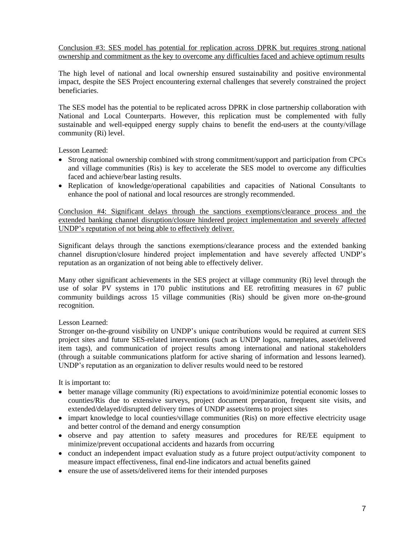Conclusion #3: SES model has potential for replication across DPRK but requires strong national ownership and commitment as the key to overcome any difficulties faced and achieve optimum results

The high level of national and local ownership ensured sustainability and positive environmental impact, despite the SES Project encountering external challenges that severely constrained the project beneficiaries.

The SES model has the potential to be replicated across DPRK in close partnership collaboration with National and Local Counterparts. However, this replication must be complemented with fully sustainable and well-equipped energy supply chains to benefit the end-users at the county/village community (Ri) level.

Lesson Learned:

- Strong national ownership combined with strong commitment/support and participation from CPCs and village communities (Ris) is key to accelerate the SES model to overcome any difficulties faced and achieve/bear lasting results.
- Replication of knowledge/operational capabilities and capacities of National Consultants to enhance the pool of national and local resources are strongly recommended.

Conclusion #4: Significant delays through the sanctions exemptions/clearance process and the extended banking channel disruption/closure hindered project implementation and severely affected UNDP's reputation of not being able to effectively deliver.

Significant delays through the sanctions exemptions/clearance process and the extended banking channel disruption/closure hindered project implementation and have severely affected UNDP's reputation as an organization of not being able to effectively deliver.

Many other significant achievements in the SES project at village community (Ri) level through the use of solar PV systems in 170 public institutions and EE retrofitting measures in 67 public community buildings across 15 village communities (Ris) should be given more on-the-ground recognition.

#### Lesson Learned:

Stronger on-the-ground visibility on UNDP's unique contributions would be required at current SES project sites and future SES-related interventions (such as UNDP logos, nameplates, asset/delivered item tags), and communication of project results among international and national stakeholders (through a suitable communications platform for active sharing of information and lessons learned). UNDP's reputation as an organization to deliver results would need to be restored

It is important to:

- better manage village community (Ri) expectations to avoid/minimize potential economic losses to counties/Ris due to extensive surveys, project document preparation, frequent site visits, and extended/delayed/disrupted delivery times of UNDP assets/items to project sites
- impart knowledge to local counties/village communities (Ris) on more effective electricity usage and better control of the demand and energy consumption
- observe and pay attention to safety measures and procedures for RE/EE equipment to minimize/prevent occupational accidents and hazards from occurring
- conduct an independent impact evaluation study as a future project output/activity component to measure impact effectiveness, final end-line indicators and actual benefits gained
- ensure the use of assets/delivered items for their intended purposes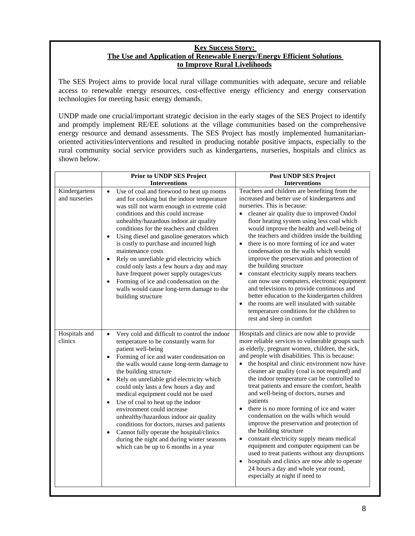#### **Key Success Story: The Use and Application of Renewable Energy/Energy Efficient Solutions to Improve Rural Livelihoods**

The SES Project aims to provide local rural village communities with adequate, secure and reliable access to renewable energy resources, cost-effective energy efficiency and energy conservation technologies for meeting basic energy demands.

UNDP made one crucial/important strategic decision in the early stages of the SES Project to identify and promptly implement RE/EE solutions at the village communities based on the comprehensive energy resource and demand assessments. The SES Project has mostly implemented humanitarianoriented activities/interventions and resulted in producing notable positive impacts, especially to the rural community social service providers such as kindergartens, nurseries, hospitals and clinics as shown below.

|                                | Prior to UNDP SES Project                                                                                                                                                                                                                                                                                                                                                                                                                                                                                                                                                                                                                                                               | Post UNDP SES Project                                                                                                                                                                                                                                                                                                                                                                                                                                                                                                                                                                                                                                                                                                                                                                                                                                                                                                      |
|--------------------------------|-----------------------------------------------------------------------------------------------------------------------------------------------------------------------------------------------------------------------------------------------------------------------------------------------------------------------------------------------------------------------------------------------------------------------------------------------------------------------------------------------------------------------------------------------------------------------------------------------------------------------------------------------------------------------------------------|----------------------------------------------------------------------------------------------------------------------------------------------------------------------------------------------------------------------------------------------------------------------------------------------------------------------------------------------------------------------------------------------------------------------------------------------------------------------------------------------------------------------------------------------------------------------------------------------------------------------------------------------------------------------------------------------------------------------------------------------------------------------------------------------------------------------------------------------------------------------------------------------------------------------------|
|                                | <b>Interventions</b>                                                                                                                                                                                                                                                                                                                                                                                                                                                                                                                                                                                                                                                                    | <b>Interventions</b>                                                                                                                                                                                                                                                                                                                                                                                                                                                                                                                                                                                                                                                                                                                                                                                                                                                                                                       |
| Kindergartens<br>and nurseries | Use of coal and firewood to heat up rooms<br>$\bullet$<br>and for cooking but the indoor temperature<br>was still not warm enough in extreme cold<br>conditions and this could increase<br>unhealthy/hazardous indoor air quality<br>conditions for the teachers and children<br>Using diesel and gasoline generators which<br>is costly to purchase and incurred high<br>maintenance costs<br>Rely on unreliable grid electricity which<br>$\bullet$<br>could only lasts a few hours a day and may<br>have frequent power supply outages/cuts<br>Forming of ice and condensation on the<br>walls would cause long-term damage to the<br>building structure                             | Teachers and children are benefiting from the<br>increased and better use of kindergartens and<br>nurseries. This is because:<br>cleaner air quality due to improved Ondol<br>floor heating system using less coal which<br>would improve the health and well-being of<br>the teachers and children inside the building<br>there is no more forming of ice and water<br>$\bullet$<br>condensation on the walls which would<br>improve the preservation and protection of<br>the building structure<br>constant electricity supply means teachers<br>can now use computers, electronic equipment<br>and televisions to provide continuous and<br>better education to the kindergarten children<br>the rooms are well insulated with suitable<br>$\bullet$<br>temperature conditions for the children to<br>rest and sleep in comfort                                                                                        |
| Hospitals and<br>clinics       | Very cold and difficult to control the indoor<br>$\bullet$<br>temperature to be constantly warm for<br>patient well-being<br>Forming of ice and water condensation on<br>the walls would cause long-term damage to<br>the building structure<br>Rely on unreliable grid electricity which<br>$\bullet$<br>could only lasts a few hours a day and<br>medical equipment could not be used<br>Use of coal to heat up the indoor<br>environment could increase<br>unhealthy/hazardous indoor air quality<br>conditions for doctors, nurses and patients<br>Cannot fully operate the hospital/clinics<br>during the night and during winter seasons<br>which can be up to 6 months in a year | Hospitals and clinics are now able to provide<br>more reliable services to vulnerable groups such<br>as elderly, pregnant women, children, the sick,<br>and people with disabilities. This is because:<br>the hospital and clinic environment now have<br>cleaner air quality (coal is not required) and<br>the indoor temperature can be controlled to<br>treat patients and ensure the comfort, health<br>and well-being of doctors, nurses and<br>patients<br>there is no more forming of ice and water<br>$\bullet$<br>condensation on the walls which would<br>improve the preservation and protection of<br>the building structure<br>constant electricity supply means medical<br>$\bullet$<br>equipment and computer equipment can be<br>used to treat patients without any disruptions<br>hospitals and clinics are now able to operate<br>24 hours a day and whole year round,<br>especially at night if need to |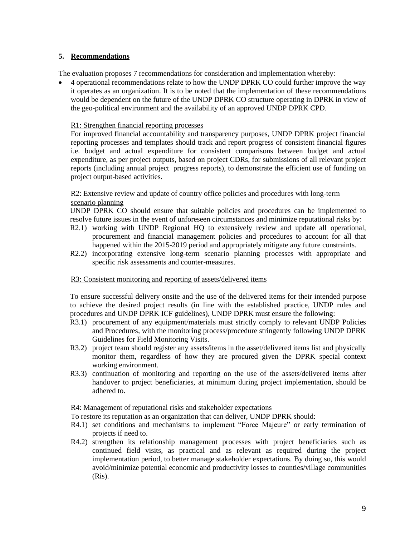#### **5. Recommendations**

The evaluation proposes 7 recommendations for consideration and implementation whereby:

• 4 operational recommendations relate to how the UNDP DPRK CO could further improve the way it operates as an organization. It is to be noted that the implementation of these recommendations would be dependent on the future of the UNDP DPRK CO structure operating in DPRK in view of the geo-political environment and the availability of an approved UNDP DPRK CPD.

#### R1: Strengthen financial reporting processes

For improved financial accountability and transparency purposes, UNDP DPRK project financial reporting processes and templates should track and report progress of consistent financial figures i.e. budget and actual expenditure for consistent comparisons between budget and actual expenditure, as per project outputs, based on project CDRs, for submissions of all relevant project reports (including annual project progress reports), to demonstrate the efficient use of funding on project output-based activities.

#### R2: Extensive review and update of country office policies and procedures with long-term scenario planning

UNDP DPRK CO should ensure that suitable policies and procedures can be implemented to resolve future issues in the event of unforeseen circumstances and minimize reputational risks by:

- R2.1) working with UNDP Regional HQ to extensively review and update all operational, procurement and financial management policies and procedures to account for all that happened within the 2015-2019 period and appropriately mitigate any future constraints.
- R2.2) incorporating extensive long-term scenario planning processes with appropriate and specific risk assessments and counter-measures.

#### R3: Consistent monitoring and reporting of assets/delivered items

To ensure successful delivery onsite and the use of the delivered items for their intended purpose to achieve the desired project results (in line with the established practice, UNDP rules and procedures and UNDP DPRK ICF guidelines), UNDP DPRK must ensure the following:

- R3.1) procurement of any equipment/materials must strictly comply to relevant UNDP Policies and Procedures, with the monitoring process/procedure stringently following UNDP DPRK Guidelines for Field Monitoring Visits.
- R3.2) project team should register any assets/items in the asset/delivered items list and physically monitor them, regardless of how they are procured given the DPRK special context working environment.
- R3.3) continuation of monitoring and reporting on the use of the assets/delivered items after handover to project beneficiaries, at minimum during project implementation, should be adhered to.

#### R4: Management of reputational risks and stakeholder expectations

To restore its reputation as an organization that can deliver, UNDP DPRK should:

- R4.1) set conditions and mechanisms to implement "Force Majeure" or early termination of projects if need to.
- R4.2) strengthen its relationship management processes with project beneficiaries such as continued field visits, as practical and as relevant as required during the project implementation period, to better manage stakeholder expectations. By doing so, this would avoid/minimize potential economic and productivity losses to counties/village communities (Ris).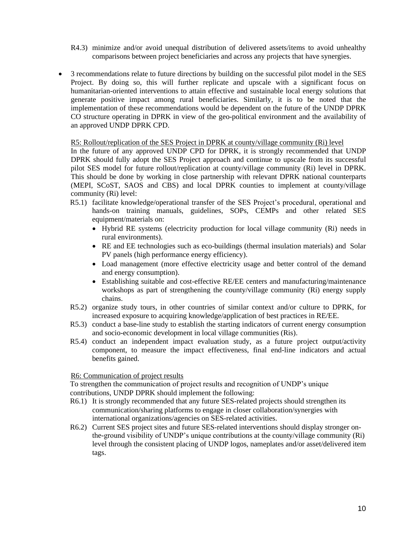- R4.3) minimize and/or avoid unequal distribution of delivered assets/items to avoid unhealthy comparisons between project beneficiaries and across any projects that have synergies.
- 3 recommendations relate to future directions by building on the successful pilot model in the SES Project. By doing so, this will further replicate and upscale with a significant focus on humanitarian-oriented interventions to attain effective and sustainable local energy solutions that generate positive impact among rural beneficiaries. Similarly, it is to be noted that the implementation of these recommendations would be dependent on the future of the UNDP DPRK CO structure operating in DPRK in view of the geo-political environment and the availability of an approved UNDP DPRK CPD.

#### R5: Rollout/replication of the SES Project in DPRK at county/village community (Ri) level

In the future of any approved UNDP CPD for DPRK, it is strongly recommended that UNDP DPRK should fully adopt the SES Project approach and continue to upscale from its successful pilot SES model for future rollout/replication at county/village community (Ri) level in DPRK. This should be done by working in close partnership with relevant DPRK national counterparts (MEPI, SCoST, SAOS and CBS) and local DPRK counties to implement at county/village community (Ri) level:

- R5.1) facilitate knowledge/operational transfer of the SES Project's procedural, operational and hands-on training manuals, guidelines, SOPs, CEMPs and other related SES equipment/materials on:
	- Hybrid RE systems (electricity production for local village community (Ri) needs in rural environments).
	- RE and EE technologies such as eco-buildings (thermal insulation materials) and Solar PV panels (high performance energy efficiency).
	- Load management (more effective electricity usage and better control of the demand and energy consumption).
	- Establishing suitable and cost-effective RE/EE centers and manufacturing/maintenance workshops as part of strengthening the county/village community (Ri) energy supply chains.
- R5.2) organize study tours, in other countries of similar context and/or culture to DPRK, for increased exposure to acquiring knowledge/application of best practices in RE/EE.
- R5.3) conduct a base-line study to establish the starting indicators of current energy consumption and socio-economic development in local village communities (Ris).
- R5.4) conduct an independent impact evaluation study, as a future project output/activity component, to measure the impact effectiveness, final end-line indicators and actual benefits gained.

#### R6: Communication of project results

To strengthen the communication of project results and recognition of UNDP's unique contributions, UNDP DPRK should implement the following:

- R6.1) It is strongly recommended that any future SES-related projects should strengthen its communication/sharing platforms to engage in closer collaboration/synergies with international organizations/agencies on SES-related activities.
- R6.2) Current SES project sites and future SES-related interventions should display stronger onthe-ground visibility of UNDP's unique contributions at the county/village community (Ri) level through the consistent placing of UNDP logos, nameplates and/or asset/delivered item tags.